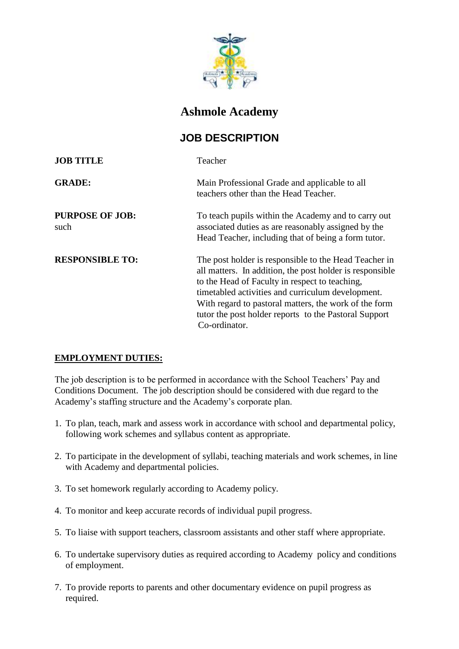

## **Ashmole Academy**

## **JOB DESCRIPTION**

| <b>JOB TITLE</b>               | Teacher                                                                                                                                                                                                                                                                                                                                                     |
|--------------------------------|-------------------------------------------------------------------------------------------------------------------------------------------------------------------------------------------------------------------------------------------------------------------------------------------------------------------------------------------------------------|
| <b>GRADE:</b>                  | Main Professional Grade and applicable to all<br>teachers other than the Head Teacher.                                                                                                                                                                                                                                                                      |
| <b>PURPOSE OF JOB:</b><br>such | To teach pupils within the Academy and to carry out<br>associated duties as are reasonably assigned by the<br>Head Teacher, including that of being a form tutor.                                                                                                                                                                                           |
| <b>RESPONSIBLE TO:</b>         | The post holder is responsible to the Head Teacher in<br>all matters. In addition, the post holder is responsible<br>to the Head of Faculty in respect to teaching,<br>timetabled activities and curriculum development.<br>With regard to pastoral matters, the work of the form<br>tutor the post holder reports to the Pastoral Support<br>Co-ordinator. |

## **EMPLOYMENT DUTIES:**

The job description is to be performed in accordance with the School Teachers' Pay and Conditions Document. The job description should be considered with due regard to the Academy's staffing structure and the Academy's corporate plan.

- 1. To plan, teach, mark and assess work in accordance with school and departmental policy, following work schemes and syllabus content as appropriate.
- 2. To participate in the development of syllabi, teaching materials and work schemes, in line with Academy and departmental policies.
- 3. To set homework regularly according to Academy policy.
- 4. To monitor and keep accurate records of individual pupil progress.
- 5. To liaise with support teachers, classroom assistants and other staff where appropriate.
- 6. To undertake supervisory duties as required according to Academy policy and conditions of employment.
- 7. To provide reports to parents and other documentary evidence on pupil progress as required.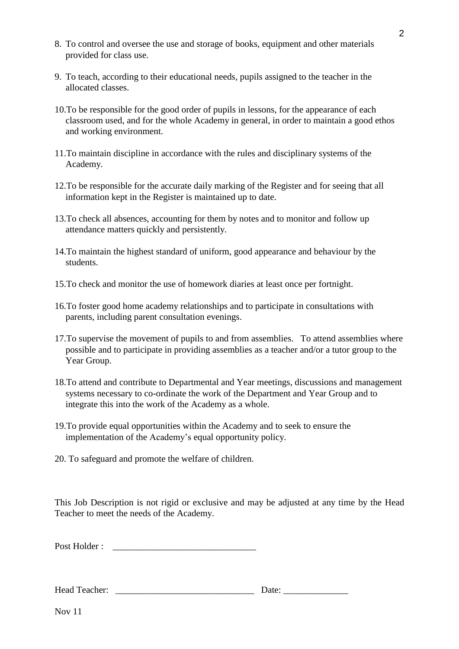- 8. To control and oversee the use and storage of books, equipment and other materials provided for class use.
- 9. To teach, according to their educational needs, pupils assigned to the teacher in the allocated classes.
- 10.To be responsible for the good order of pupils in lessons, for the appearance of each classroom used, and for the whole Academy in general, in order to maintain a good ethos and working environment.
- 11.To maintain discipline in accordance with the rules and disciplinary systems of the Academy.
- 12.To be responsible for the accurate daily marking of the Register and for seeing that all information kept in the Register is maintained up to date.
- 13.To check all absences, accounting for them by notes and to monitor and follow up attendance matters quickly and persistently.
- 14.To maintain the highest standard of uniform, good appearance and behaviour by the students.
- 15.To check and monitor the use of homework diaries at least once per fortnight.
- 16.To foster good home academy relationships and to participate in consultations with parents, including parent consultation evenings.
- 17.To supervise the movement of pupils to and from assemblies. To attend assemblies where possible and to participate in providing assemblies as a teacher and/or a tutor group to the Year Group.
- 18.To attend and contribute to Departmental and Year meetings, discussions and management systems necessary to co-ordinate the work of the Department and Year Group and to integrate this into the work of the Academy as a whole.
- 19.To provide equal opportunities within the Academy and to seek to ensure the implementation of the Academy's equal opportunity policy.
- 20. To safeguard and promote the welfare of children.

This Job Description is not rigid or exclusive and may be adjusted at any time by the Head Teacher to meet the needs of the Academy.

Post Holder : \_\_\_\_\_\_\_\_\_\_\_\_\_\_\_\_\_\_\_\_\_\_\_\_\_\_\_\_\_\_\_

Head Teacher: **Lead Search 2018** Date:

Nov 11